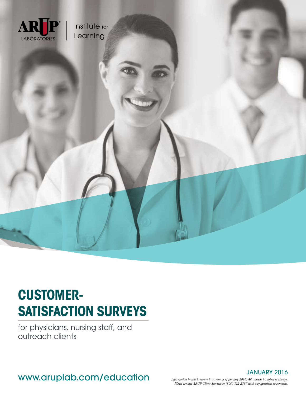

# **CUSTOMER-SATISFACTION SURVEYS**

for physicians, nursing staff, and outreach clients

JANUARY 2016<br>WWW.Aruplab.com/education in this brochure is current as of January 2016. All content is subject to change.

*Information in this brochure is current as of January 2016. All content is subject to change. Please contact ARUP Client Services at (800) 522-2787 with any questions or concerns.*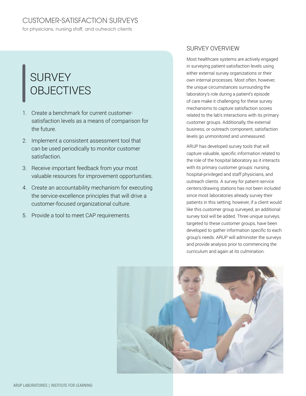## SURVEY **OBJECTIVES**

- 1. Create a benchmark for current customersatisfaction levels as a means of comparison for the future.
- 2. Implement a consistent assessment tool that can be used periodically to monitor customer satisfaction.
- 3. Receive important feedback from your most valuable resources for improvement opportunities.
- 4. Create an accountability mechanism for executing the service-excellence principles that will drive a customer-focused organizational culture.
- 5. Provide a tool to meet CAP requirements.

### SURVEY OVERVIEW

Most healthcare systems are actively engaged in surveying patient-satisfaction levels using either external survey organizations or their own internal processes. Most often, however, the unique circumstances surrounding the laboratory's role during a patient's episode of care make it challenging for these survey mechanisms to capture satisfaction scores related to the lab's interactions with its primary customer groups. Additionally, the external business, or outreach component, satisfaction levels go unmonitored and unmeasured.

ARUP has developed survey tools that will capture valuable, specific information related to the role of the hospital laboratory as it interacts with its primary customer groups: nursing, hospital-privileged and staff physicians, and outreach clients. A survey for patient-service centers/drawing stations has not been included since most laboratories already survey their patients in this setting; however, if a client would like this customer group surveyed, an additional survey tool will be added. Three unique surveys, targeted to these customer groups, have been developed to gather information specific to each group's needs. ARUP will administer the surveys and provide analysis prior to commencing the curriculum and again at its culmination.

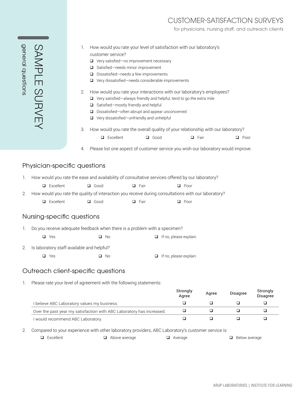## CUSTOMER-SATISFACTION SURVEYS

for physicians, nursing staff, and outreach clients

| <b>Gen</b><br>$\vec{\mathbb{O}}$<br>ר<br>הפסו |  |
|-----------------------------------------------|--|
|                                               |  |

| 1. How would you rate your level of satisfaction with our laboratory's |
|------------------------------------------------------------------------|
| customer service?                                                      |

- Very satisfied—no improvement necessary
- □ Satisfied-needs minor improvement
- D Dissatisfied—needs a few improvements
- Very dissatisfied—needs considerable improvements
- 2. How would you rate your interactions with our laboratory's employees?
	- □ Very satisfied-always friendly and helpful, tend to go the extra mile
	- □ Satisfied-mostly friendly and helpful
	- Dissatisfied—often abrupt and appear unconcerned
	- Very dissatisfied—unfriendly and unhelpful
- 3. How would you rate the overall quality of your relationship with our laboratory?
	- **Q** Excellent **Q** Good **Q** Fair **Q** Poor
- 4. Please list one aspect of customer service you wish our laboratory would improve.

#### Physician-specific questions

1. How would you rate the ease and availability of consultative services offered by our laboratory?

| $\Box$ Excellent | $\Box$ Good | $\Box$ Fair | $\Box$ Poor |
|------------------|-------------|-------------|-------------|
|------------------|-------------|-------------|-------------|

2. How would you rate the quality of interaction you receive during consultations with our laboratory?

Excellent Good Fair Poor

#### Nursing-specific questions

1. Do you receive adequate feedback when there is a problem with a specimen?

□ Yes □ No □ No □ If no, please explain:

- 2. Is laboratory staff available and helpful?
	- □ Yes □ No □ No □ If no, please explain:

#### Outreach client-specific questions

1. Please rate your level of agreement with the following statements:

|                                                                       | Strongly<br>Aaree | Agree | <b>Disagree</b> | Strongly<br><b>Disagree</b> |
|-----------------------------------------------------------------------|-------------------|-------|-----------------|-----------------------------|
| I believe ABC Laboratory values my business.                          |                   |       |                 |                             |
| Over the past year my satisfaction with ABC Laboratory has increased. |                   |       |                 |                             |
| I would recommend ABC Laboratory.                                     |                   |       |                 |                             |

2. Compared to your experience with other laboratory providers, ABC Laboratory's customer service is:

- 
- 

 $\Box$  Excellent  $\Box$  Above average  $\Box$  Average  $\Box$  Below average